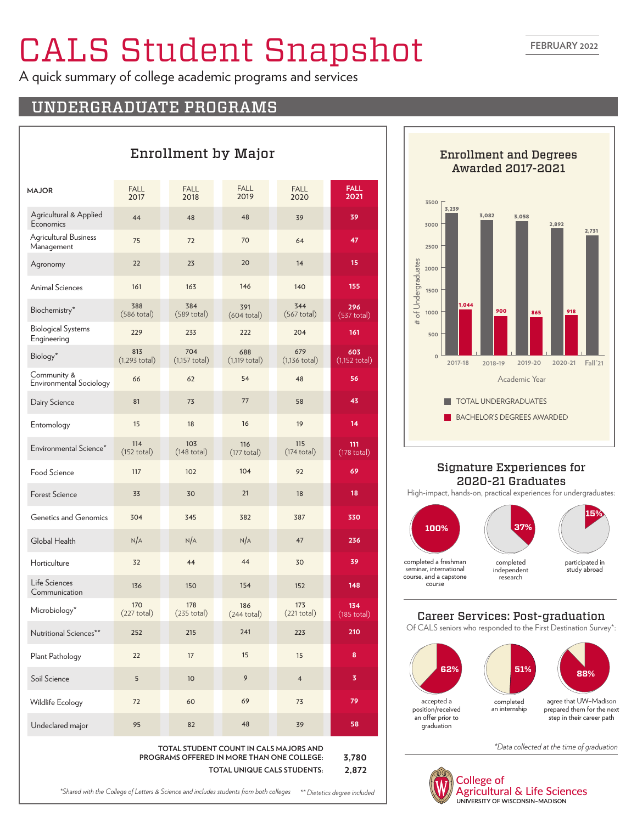# CALS Student Snapshot

A quick summary of college academic programs and services

Enrollment by Major

# UNDERGRADUATE PROGRAMS

| <b>MAJOR</b>                             | <b>FALL</b><br>2017          | <b>FALL</b><br>2018            | <b>FALL</b><br>2019          | <b>FALL</b><br>2020            | <b>FALL</b><br>2021            |
|------------------------------------------|------------------------------|--------------------------------|------------------------------|--------------------------------|--------------------------------|
| Agricultural & Applied<br>Economics      | 44                           | 48                             | 48                           | 39                             | 39                             |
| Agricultural Business<br>Management      | 75                           | 72                             | 70                           | 64                             | 47                             |
| Agronomy                                 | 22                           | 23                             | 20                           | 14                             | 15                             |
| <b>Animal Sciences</b>                   | 161                          | 163                            | 146                          | 140                            | 155                            |
| Biochemistry*                            | 388<br>$(586$ total)         | 384<br>$(589$ total)           | 391<br>$(604$ total)         | 344<br>$(567 \text{ total})$   | 296<br>$(537 \text{ total})$   |
| <b>Biological Systems</b><br>Engineering | 229                          | 233                            | 222                          | 204                            | 161                            |
| Biology*                                 | 813<br>$(1,293$ total)       | 704<br>$(1,157 \text{ total})$ | 688<br>$(1, 119$ total)      | 679<br>$(1,136 \text{ total})$ | 603<br>$(1,152 \text{ total})$ |
| Community &<br>Environmental Sociology   | 66                           | 62                             | 54                           | 48                             | 56                             |
| Dairy Science                            | 81                           | 73                             | 77                           | 58                             | 43                             |
| Entomology                               | 15                           | 18                             | 16                           | 19                             | 14                             |
| Environmental Science*                   | 114<br>$(152 \text{ total})$ | 103<br>$(148 \text{ total})$   | 116<br>$(177 \text{ total})$ | 115<br>$(174 \text{ total})$   | 111<br>$(178 \text{ total})$   |
| Food Science                             | 117                          | 102                            | 104                          | 92                             | 69                             |
| <b>Forest Science</b>                    | 33                           | 30                             | 21                           | 18                             | 18                             |
| <b>Genetics and Genomics</b>             | 304                          | 345                            | 382                          | 387                            | 330                            |
| Global Health                            | N/A                          | N/A                            | N/A                          | 47                             | 236                            |
| Horticulture                             | 32                           | 44                             | 44                           | 30                             | 39                             |
| Life Sciences<br>Communication           | 136                          | 150                            | 154                          | 152                            | 148                            |
| Microbiology*                            | 170<br>$(227 \text{ total})$ | 178<br>$(235$ total)           | 186<br>$(244 \text{ total})$ | 173<br>$(221 \text{ total})$   | 134<br>$(185$ total)           |
| Nutritional Sciences**                   | 252                          | 215                            | 241                          | 223                            | 210                            |
| Plant Pathology                          | 22                           | 17                             | 15                           | 15                             | 8                              |
| Soil Science                             | 5                            | 10                             | 9                            | $\overline{4}$                 | 3                              |
| Wildlife Ecology                         | 72                           | 60                             | 69                           | 73                             | 79                             |
| Undeclared major                         | 95                           | 82                             | 48                           | 39                             | 58                             |

**TOTAL STUDENT COUNT IN CALS MAJORS AND PROGRAMS OFFERED IN MORE THAN ONE COLLEGE: TOTAL UNIQUE CALS STUDENTS:**

**3,780 2,872**



### Signature Experiences for 2020-21 Graduates

High-impact, hands-on, practical experiences for undergraduates:



## Career Services: Post-graduation

Of CALS seniors who responded to the First Destination Survey\*:



*\*Data collected at the time of graduation*